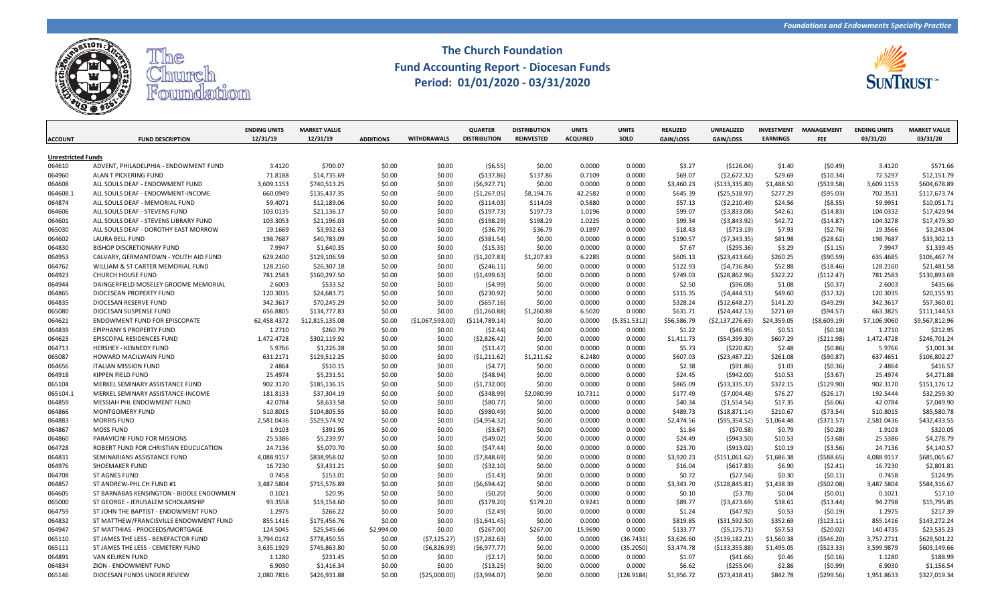

## **The Church Foundation Fund Accounting Report - Diocesan Funds Period: 01/01/2020 - 03/31/2020**



| <b>ACCOUNT</b>            | <b>FUND DESCRIPTION</b>                  | <b>ENDING UNITS</b><br>12/31/19 | <b>MARKET VALUE</b><br>12/31/19 | <b>ADDITIONS</b> | <b>WITHDRAWALS</b> | <b>QUARTER</b><br><b>DISTRIBUTION</b> | <b>DISTRIBUTION</b><br><b>REINVESTED</b> | <b>UNITS</b><br><b>ACQUIRED</b> | <b>UNITS</b><br>SOLD | <b>REALIZED</b><br>GAIN/LOSS | UNREALIZED<br>GAIN/LOSS | <b>INVESTMENT</b><br><b>EARNINGS</b> | <b>MANAGEMENT</b><br><b>FEE</b> | <b>ENDING UNITS</b><br>03/31/20 | <b>MARKET VALUE</b><br>03/31/20 |
|---------------------------|------------------------------------------|---------------------------------|---------------------------------|------------------|--------------------|---------------------------------------|------------------------------------------|---------------------------------|----------------------|------------------------------|-------------------------|--------------------------------------|---------------------------------|---------------------------------|---------------------------------|
|                           |                                          |                                 |                                 |                  |                    |                                       |                                          |                                 |                      |                              |                         |                                      |                                 |                                 |                                 |
| <b>Unrestricted Funds</b> |                                          |                                 |                                 |                  |                    |                                       |                                          |                                 |                      |                              |                         |                                      |                                 |                                 |                                 |
| 064610                    | ADVENT, PHILADELPHIA - ENDOWMENT FUND    | 3.4120                          | \$700.07                        | \$0.00           | \$0.00             | (56.55)                               | \$0.00                                   | 0.0000                          | 0.0000               | \$3.27                       | ( \$126.04)             | \$1.40                               | (50.49)                         | 3.4120                          | \$571.66                        |
| 064960                    | ALAN T PICKERING FUND                    | 71.8188                         | \$14,735.69                     | \$0.00           | \$0.00             | ( \$137.86)                           | \$137.86                                 | 0.7109                          | 0.0000               | \$69.07                      | (52, 672.32)            | \$29.69                              | ( \$10.34)                      | 72.5297                         | \$12,151.79                     |
| 064608                    | ALL SOULS DEAF - ENDOWMENT FUND          | 3,609.1153                      | \$740,513.25                    | \$0.00           | \$0.00             | (56, 927.71)                          | \$0.00                                   | 0.0000                          | 0.0000               | \$3,460.23                   | ( \$133, 335.80)        | \$1,488.50                           | ( \$519.58)                     | 3,609.1153                      | \$604,678.89                    |
| 064608.1                  | ALL SOULS DEAF - ENDOWMENT-INCOME        | 660.0949                        | \$135,437.35                    | \$0.00           | \$0.00             | ( \$1,267.05)                         | \$8,194.76                               | 42.2582                         | 0.0000               | \$645.39                     | ( \$25,518.97)          | \$277.29                             | (595.03)                        | 702.3531                        | \$117,673.74                    |
| 064874                    | ALL SOULS DEAF - MEMORIAL FUND           | 59.4071                         | \$12,189.06                     | \$0.00           | \$0.00             | ( \$114.03)                           | \$114.03                                 | 0.5880                          | 0.0000               | \$57.13                      | (52,210.49)             | \$24.56                              | ( \$8.55)                       | 59.9951                         | \$10,051.71                     |
| 064606                    | ALL SOULS DEAF - STEVENS FUND            | 103.0135                        | \$21,136.17                     | \$0.00           | \$0.00             | (5197.73)                             | \$197.73                                 | 1.0196                          | 0.0000               | \$99.07                      | ( \$3,833.08)           | \$42.61                              | (514.83)                        | 104.0332                        | \$17,429.94                     |
| 064601                    | ALL SOULS DEAF - STEVENS LIBRARY FUND    | 103.3053                        | \$21,196.03                     | \$0.00           | \$0.00             | ( \$198.29)                           | \$198.29                                 | 1.0225                          | 0.0000               | \$99.34                      | ( \$3,843.92)           | \$42.72                              | (514.87)                        | 104.3278                        | \$17,479.30                     |
| 065030                    | ALL SOULS DEAF - DOROTHY EAST MORROW     | 19.1669                         | \$3,932.63                      | \$0.00           | \$0.00             | ( \$36.79)                            | \$36.79                                  | 0.1897                          | 0.0000               | \$18.43                      | (5713.19)               | \$7.93                               | (52.76)                         | 19.3566                         | \$3,243.04                      |
| 064602                    | LAURA BELL FUND                          | 198.7687                        | \$40,783.09                     | \$0.00           | \$0.00             | ( \$381.54)                           | \$0.00                                   | 0.0000                          | 0.0000               | \$190.57                     | (57, 343.35)            | \$81.98                              | (528.62)                        | 198.7687                        | \$33,302.13                     |
| 064830                    | <b>BISHOP DISCRETIONARY FUND</b>         | 7.9947                          | \$1,640.35                      | \$0.00           | \$0.00             | ( \$15.35)                            | \$0.00                                   | 0.0000                          | 0.0000               | \$7.67                       | (5295.36)               | \$3.29                               | (51.15)                         | 7.9947                          | \$1,339.45                      |
| 064953                    | CALVARY, GERMANTOWN - YOUTH AID FUND     | 629.2400                        | \$129,106.59                    | \$0.00           | \$0.00             | ( \$1,207.83)                         | \$1,207.83                               | 6.2285                          | 0.0000               | \$605.13                     | ( \$23,413.64)          | \$260.25                             | ( \$90.59)                      | 635.4685                        | \$106,467.74                    |
| 064762                    | WILLIAM & ST CARTER MEMORIAL FUND        | 128.2160                        | \$26,307.18                     | \$0.00           | \$0.00             | (5246.11)                             | \$0.00                                   | 0.0000                          | 0.0000               | \$122.93                     | (54, 736.84)            | \$52.88                              | (518.46)                        | 128.2160                        | \$21,481.58                     |
| 064923                    | <b>CHURCH HOUSE FUND</b>                 | 781.2583                        | \$160,297.50                    | \$0.00           | \$0.00             | ( \$1,499.63)                         | \$0.00                                   | 0.0000                          | 0.0000               | \$749.03                     | ( \$28, 862.96)         | \$322.22                             | ( \$112.47)                     | 781.2583                        | \$130,893.69                    |
| 064944                    | DAINGERFIELD MOSELEY GROOME MEMORIAL     | 2.6003                          | \$533.52                        | \$0.00           | \$0.00             | (54.99)                               | \$0.00                                   | 0.0000                          | 0.0000               | \$2.50                       | ( \$96.08)              | \$1.08                               | (50.37)                         | 2.6003                          | \$435.66                        |
| 064865                    | DIOCESEAN PROPERTY FUND                  | 120.3035                        | \$24,683.71                     | \$0.00           | \$0.00             | (5230.92)                             | \$0.00                                   | 0.0000                          | 0.0000               | \$115.35                     | (54, 444.51)            | \$49.60                              | (517.32)                        | 120.3035                        | \$20,155.91                     |
| 064835                    | DIOCESAN RESERVE FUND                    | 342.3617                        | \$70,245.29                     | \$0.00           | \$0.00             | (5657.16)                             | \$0.00                                   | 0.0000                          | 0.0000               | \$328.24                     | ( \$12,648.27)          | \$141.20                             | (549.29)                        | 342.3617                        | \$57,360.01                     |
| 065080                    | DIOCESAN SUSPENSE FUND                   | 656.8805                        | \$134,777.83                    | \$0.00           | \$0.00             | ( \$1,260.88)                         | \$1,260.88                               | 6.5020                          | 0.0000               | \$631.71                     | ( \$24,442.13)          | \$271.69                             | (594.57)                        | 663.3825                        | \$111,144.53                    |
| 064621                    | ENDOWMENT FUND FOR EPISCOPATE            | 62,458.4372                     | \$12,815,135.08                 | \$0.00           | ( \$1,067,593.00)  | (\$114,789.14)                        | \$0.00                                   | 0.0000                          | (5,351.5312)         | \$56,586.79                  | (52, 137, 276.63)       | \$24,359.05                          | ( \$8,609.19)                   | 57,106.9060                     | \$9,567,812.96                  |
| 064839                    | EPIPHANY S PROPERTY FUND                 | 1.2710                          | \$260.79                        | \$0.00           | \$0.00             | (52.44)                               | \$0.00                                   | 0.0000                          | 0.0000               | \$1.22                       | ( \$46.95)              | \$0.51                               | (50.18)                         | 1.2710                          | \$212.95                        |
| 064623                    | EPISCOPAL RESIDENCES FUND                | 1,472.4728                      | \$302,119.92                    | \$0.00           | \$0.00             | (52,826.42)                           | \$0.00                                   | 0.0000                          | 0.0000               | \$1,411.73                   | ( \$54, 399.30)         | \$607.29                             | ( \$211.98)                     | 1,472.4728                      | \$246,701.24                    |
| 064713                    | <b>HERSHEY - KENNEDY FUND</b>            | 5.9766                          | \$1,226.28                      | \$0.00           | \$0.00             | ( \$11.47)                            | \$0.00                                   | 0.0000                          | 0.0000               | \$5.73                       | (5220.82)               | \$2.48                               | (50.86)                         | 5.9766                          | \$1,001.34                      |
| 065087                    | HOWARD MACILWAIN FUND                    | 631.2171                        | \$129,512.25                    | \$0.00           | \$0.00             | (51,211.62)                           | \$1,211.62                               | 6.2480                          | 0.0000               | \$607.03                     | ( \$23,487.22)          | \$261.08                             | (590.87)                        | 637.4651                        | \$106,802.27                    |
| 064656                    | <b>ITALIAN MISSION FUND</b>              | 2.4864                          | \$510.15                        | \$0.00           | \$0.00             | (54.77)                               | \$0.00                                   | 0.0000                          | 0.0000               | \$2.38                       | ( \$91.86)              | \$1.03                               | (50.36)                         | 2.4864                          | \$416.57                        |
| 064918                    | KIPPEN FIELD FUND                        | 25.4974                         | \$5,231.51                      | \$0.00           | \$0.00             | (548.94)                              | \$0.00                                   | 0.0000                          | 0.0000               | \$24.45                      | ( \$942.00)             | \$10.53                              | ( \$3.67)                       | 25.4974                         | \$4,271.88                      |
| 065104                    | MERKEL SEMINARY ASSISTANCE FUND          | 902.3170                        | \$185,136.15                    | \$0.00           | \$0.00             | (51,732.00)                           | \$0.00                                   | 0.0000                          | 0.0000               | \$865.09                     | ( \$33, 335.37)         | \$372.15                             | (\$129.90)                      | 902.3170                        | \$151,176.12                    |
| 065104.1                  | MERKEL SEMINARY ASSISTANCE-INCOME        | 181.8133                        | \$37,304.19                     | \$0.00           | \$0.00             | ( \$348.99)                           | \$2,080.99                               | 10.7311                         | 0.0000               | \$177.49                     | (57,004.48)             | \$76.27                              | ( \$26.17)                      | 192.5444                        | \$32,259.30                     |
| 064859                    | MESSIAH PHL ENDOWMENT FUND               | 42.0784                         | \$8,633.58                      | \$0.00           | \$0.00             | ( \$80.77)                            | \$0.00                                   | 0.0000                          | 0.0000               | \$40.34                      | ( \$1,554.54)           | \$17.35                              | (56.06)                         | 42.0784                         | \$7,049.90                      |
| 064866                    | <b>MONTGOMERY FUND</b>                   | 510.8015                        | \$104,805.55                    | \$0.00           | \$0.00             | ( \$980.49)                           | \$0.00                                   | 0.0000                          | 0.0000               | \$489.73                     | ( \$18,871.14)          | \$210.67                             | (573.54)                        | 510.8015                        | \$85,580.78                     |
| 064883                    | <b>MORRIS FUND</b>                       | 2,581.0436                      | \$529,574.92                    | \$0.00           | \$0.00             | (54, 954.32)                          | \$0.00                                   | 0.0000                          | 0.0000               | \$2,474.56                   | ( \$95,354.52)          | \$1,064.48                           | (5371.57)                       | 2,581.0436                      | \$432,433.55                    |
| 064867                    | <b>MOSS FUND</b>                         | 1.9103                          | \$391.95                        | \$0.00           | \$0.00             | ( \$3.67)                             | \$0.00                                   | 0.0000                          | 0.0000               | \$1.84                       | (570.58)                | \$0.79                               | (50.28)                         | 1.9103                          | \$320.05                        |
| 064860                    | PARAVICINI FUND FOR MISSIONS             | 25.5386                         | \$5,239.97                      | \$0.00           | \$0.00             | (549.02)                              | \$0.00                                   | 0.0000                          | 0.0000               | \$24.49                      | ( \$943.50)             | \$10.53                              | (53.68)                         | 25.5386                         | \$4,278.79                      |
| 064728                    | ROBERT FUND FOR CHRISTIAN EDUCUCATION    | 24.7136                         | \$5,070.70                      | \$0.00           | \$0.00             | (547.44)                              | \$0.00                                   | 0.0000                          | 0.0000               | \$23.70                      | (5913.02)               | \$10.19                              | (53.56)                         | 24.7136                         | \$4,140.57                      |
| 064831                    | SEMINARIANS ASSISTANCE FUND              | 4,088.9157                      | \$838,958.02                    | \$0.00           | \$0.00             | (57,848.69)                           | \$0.00                                   | 0.0000                          | 0.0000               | \$3,920.23                   | ( \$151,061.62)         | \$1,686.38                           | (5588.65)                       | 4,088.9157                      | \$685,065.67                    |
| 064976                    | <b>SHOEMAKER FUND</b>                    | 16.7230                         | \$3,431.21                      | \$0.00           | \$0.00             | ( \$32.10)                            | \$0.00                                   | 0.0000                          | 0.0000               | \$16.04                      | ( \$617.83)             | \$6.90                               | (52.41)                         | 16.7230                         | \$2,801.81                      |
| 064708                    | ST AGNES FUND                            | 0.7458                          | \$153.01                        | \$0.00           | \$0.00             | (51.43)                               | \$0.00                                   | 0.0000                          | 0.0000               | \$0.72                       | (527.54)                | \$0.30                               | (50.11)                         | 0.7458                          | \$124.95                        |
| 064857                    | ST ANDREW-PHL CH FUND #1                 | 3,487.5804                      | \$715,576.89                    | \$0.00           | \$0.00             | (56,694.42)                           | \$0.00                                   | 0.0000                          | 0.0000               | \$3,343.70                   | ( \$128, 845.81)        | \$1,438.39                           | (5502.08)                       | 3,487.5804                      | \$584,316.67                    |
| 064605                    | ST BARNABAS KENSINGTON - BIDDLE ENDOWMEN | 0.1021                          | \$20.95                         | \$0.00           | \$0.00             | (50.20)                               | \$0.00                                   | 0.0000                          | 0.0000               | \$0.10                       | (53.78)                 | \$0.04                               | (50.01)                         | 0.1021                          | \$17.10                         |
| 065000                    | ST GEORGE - JERUSALEM SCHOLARSHIP        | 93.3558                         | \$19,154.60                     | \$0.00           | \$0.00             | (\$179.20)                            | \$179.20                                 | 0.9241                          | 0.0000               | \$89.77                      | ( \$3,473.69)           | \$38.61                              | ( \$13.44)                      | 94.2798                         | \$15,795.85                     |
| 064759                    | ST JOHN THE BAPTIST - ENDOWMENT FUND     | 1.2975                          | \$266.22                        | \$0.00           | \$0.00             | (52.49)                               | \$0.00                                   | 0.0000                          | 0.0000               | \$1.24                       | (547.92)                | \$0.53                               | (50.19)                         | 1.2975                          | \$217.39                        |
| 064832                    | ST MATTHEW/FRANCISVILLE ENDOWMENT FUND   | 855.1416                        | \$175,456.76                    | \$0.00           | \$0.00             | ( \$1,641.45)                         | \$0.00                                   | 0.0000                          | 0.0000               | \$819.85                     | ( \$31,592.50)          | \$352.69                             | (5123.11)                       | 855.1416                        | \$143,272.24                    |
| 064947                    | ST MATTHIAS - PROCEEDS/MORTGAGE          | 124.5045                        | \$25,545.66                     | \$2,994.00       | \$0.00             | ( \$267.00)                           | \$267.00                                 | 15.9690                         | 0.0000               | \$133.77                     | (55, 175.71)            | \$57.53                              | (520.02)                        | 140.4735                        | \$23,535.23                     |
| 065110                    | ST JAMES THE LESS - BENEFACTOR FUND      | 3,794.0142                      | \$778,450.55                    | \$0.00           | (57, 125.27)       | (57, 282.63)                          | \$0.00                                   | 0.0000                          | (36.7431)            | \$3,626.60                   | ( \$139, 182.21)        | \$1,560.38                           | (5546.20)                       | 3,757.2711                      | \$629,501.22                    |
| 065111                    | ST JAMES THE LESS - CEMETERY FUND        | 3,635.1929                      | \$745,863.80                    | \$0.00           | (56,826.99)        | (56, 977.77)                          | \$0.00                                   | 0.0000                          | (35.2050)            | \$3,474.78                   | ( \$133, 355.88)        | \$1,495.05                           | (5523.33)                       | 3,599.9879                      | \$603,149.66                    |
| 064891                    | <b>VAN KEUREN FUND</b>                   | 1.1280                          | \$231.45                        | \$0.00           | \$0.00             | (52.17)                               | \$0.00                                   | 0.0000                          | 0.0000               | \$1.07                       | ( \$41.66)              | \$0.46                               | (50.16)                         | 1.1280                          | \$188.99                        |
| 064834                    | ZION - ENDOWMENT FUND                    | 6.9030                          | \$1,416.34                      | \$0.00           | \$0.00             | (513.25)                              | \$0.00                                   | 0.0000                          | 0.0000               | \$6.62                       | ( \$255.04)             | \$2.86                               | (50.99)                         | 6.9030                          | \$1,156.54                      |
| 065146                    | DIOCESAN FUNDS UNDER REVIEW              | 2.080.7816                      | \$426,931.88                    | \$0.00           | ( \$25,000.00)     | (53,994.07)                           | \$0.00                                   | 0.0000                          | (128.9184)           | \$1,956.72                   | (573, 418.41)           | \$842.78                             | (5299.56)                       | 1,951.8633                      | \$327,019.34                    |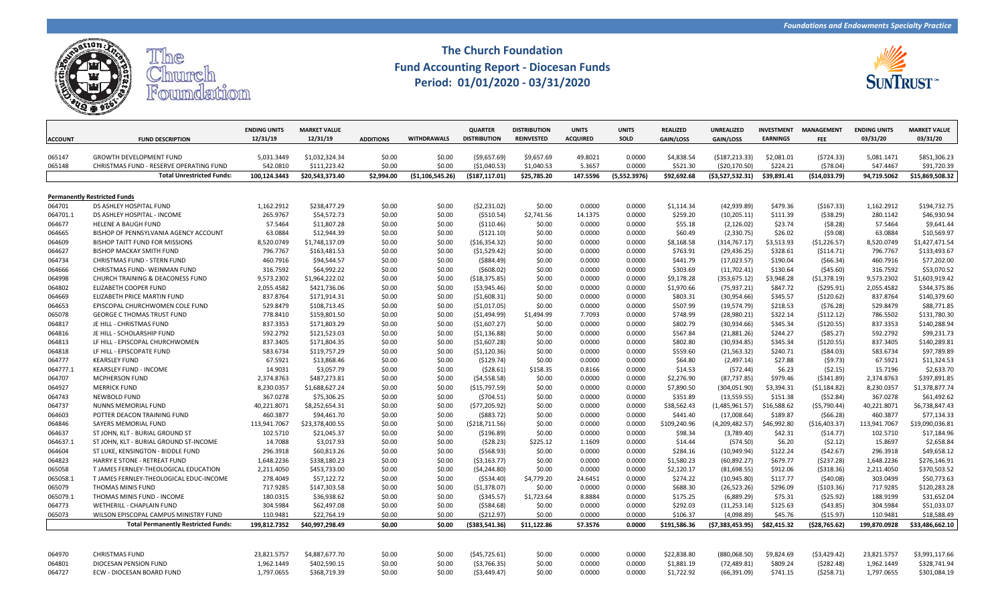

## **The Church Foundation Fund Accounting Report - Diocesan Funds Period: 01/01/2020 - 03/31/2020**



|                |                                            | <b>ENDING UNITS</b> | <b>MARKET VALUE</b> |                  |                    | <b>QUARTER</b>      | <b>DISTRIBUTION</b> | <b>UNITS</b>    | <b>UNITS</b> | <b>REALIZED</b> | <b>UNREALIZED</b> | <b>INVESTMENT</b> | <b>MANAGEMENT</b> | <b>ENDING UNITS</b> | <b>MARKET VALUE</b> |
|----------------|--------------------------------------------|---------------------|---------------------|------------------|--------------------|---------------------|---------------------|-----------------|--------------|-----------------|-------------------|-------------------|-------------------|---------------------|---------------------|
| <b>ACCOUNT</b> | <b>FUND DESCRIPTION</b>                    | 12/31/19            | 12/31/19            | <b>ADDITIONS</b> | <b>WITHDRAWALS</b> | <b>DISTRIBUTION</b> | <b>REINVESTED</b>   | <b>ACQUIRED</b> | SOLD         | GAIN/LOSS       | <b>GAIN/LOSS</b>  | <b>EARNINGS</b>   | <b>FEE</b>        | 03/31/20            | 03/31/20            |
|                |                                            |                     |                     |                  |                    |                     |                     |                 |              |                 |                   |                   |                   |                     |                     |
| 065147         | <b>GROWTH DEVELOPMENT FUND</b>             | 5,031.3449          | \$1,032,324.34      | \$0.00           | \$0.00             | (59,657.69)         | \$9,657.69          | 49.8021         | 0.0000       | \$4,838.54      | ( \$187, 213.33)  | \$2,081.01        | (5724.33)         | 5,081.1471          | \$851,306.23        |
| 065148         | CHRISTMAS FUND - RESERVE OPERATING FUND    | 542.0810            | \$111,223.42        | \$0.00           | \$0.00             | ( \$1,040.53)       | \$1,040.53          | 5.3657          | 0.0000       | \$521.30        | ( \$20, 170.50)   | \$224.21          | (578.04)          | 547.4467            | \$91,720.39         |
|                | <b>Total Unrestricted Funds:</b>           | 100.124.3443        | \$20.543.373.40     | \$2.994.00       | ( \$1,106,545.26)  | ( \$187, 117.01)    | \$25,785.20         | 147.5596        | (5,552.3976) | \$92,692.68     | (53,527,532.31)   | \$39,891.41       | ( \$14,033.79)    | 94,719.5062         | \$15,869,508.32     |
|                |                                            |                     |                     |                  |                    |                     |                     |                 |              |                 |                   |                   |                   |                     |                     |
|                | <b>Permanently Restricted Funds</b>        |                     |                     |                  |                    |                     |                     |                 |              |                 |                   |                   |                   |                     |                     |
| 064701         | DS ASHLEY HOSPITAL FUND                    | 1,162.2912          | \$238,477.29        | \$0.00           | \$0.00             | ( \$2, 231.02)      | \$0.00              | 0.0000          | 0.0000       | \$1,114.34      | (42, 939.89)      | \$479.36          | ( \$167.33)       | 1,162.2912          | \$194,732.75        |
| 064701.1       | DS ASHLEY HOSPITAL - INCOME                | 265.9767            | \$54,572.73         | \$0.00           | \$0.00             | ( \$510.54)         | \$2,741.56          | 14.1375         | 0.0000       | \$259.20        | (10, 205.11)      | \$111.39          | ( \$38.29)        | 280.1142            | \$46,930.94         |
| 064677         | <b>HELENE A BAUGH FUND</b>                 | 57.5464             | \$11,807.28         | \$0.00           | \$0.00             | ( \$110.46)         | \$0.00              | 0.0000          | 0.0000       | \$55.18         | (2, 126.02)       | \$23.74           | (58.28)           | 57.5464             | \$9,641.44          |
| 064665         | BISHOP OF PENNSYLVANIA AGENCY ACCOUNT      | 63.0884             | \$12,944.39         | \$0.00           | \$0.00             | ( \$121.10)         | \$0.00              | 0.0000          | 0.0000       | \$60.49         | (2,330.75)        | \$26.02           | (59.08)           | 63.0884             | \$10,569.97         |
| 064609         | BISHOP TAITT FUND FOR MISSIONS             | 8,520.0749          | \$1,748,137.09      | \$0.00           | \$0.00             | ( \$16, 354.32)     | \$0.00              | 0.0000          | 0.0000       | \$8,168.58      | (314, 767.17)     | \$3,513.93        | ( \$1,226.57)     | 8,520.0749          | \$1,427,471.54      |
| 064627         | <b>BISHOP MACKAY SMITH FUND</b>            | 796.7767            | \$163,481.53        | \$0.00           | \$0.00             | (\$1,529.42)        | \$0.00              | 0.0000          | 0.0000       | \$763.91        | (29, 436.25)      | \$328.61          | (5114.71)         | 796.7767            | \$133,493.67        |
| 064734         | CHRISTMAS FUND - STERN FUND                | 460.7916            | \$94,544.57         | \$0.00           | \$0.00             | ( \$884.49)         | \$0.00              | 0.0000          | 0.0000       | \$441.79        | (17, 023.57)      | \$190.04          | ( \$66.34)        | 460.7916            | \$77,202.00         |
| 064666         | CHRISTMAS FUND- WEINMAN FUND               | 316.7592            | \$64,992.22         | \$0.00           | \$0.00             | (5608.02)           | \$0.00              | 0.0000          | 0.0000       | \$303.69        | (11,702.41)       | \$130.64          | (545.60)          | 316.7592            | \$53,070.52         |
| 064998         | CHURCH TRAINING & DEACONESS FUND           | 9,573.2302          | \$1,964,222.02      | \$0.00           | \$0.00             | ( \$18,375.85)      | \$0.00              | 0.0000          | 0.0000       | \$9,178.28      | (353, 675.12)     | \$3,948.28        | (51, 378.19)      | 9,573.2302          | \$1,603,919.42      |
| 064802         | ELIZABETH COOPER FUND                      | 2,055.4582          | \$421,736.06        | \$0.00           | \$0.00             | ( \$3,945.46)       | \$0.00              | 0.0000          | 0.0000       | \$1,970.66      | (75, 937.21)      | \$847.72          | (5295.91)         | 2,055.4582          | \$344,375.86        |
| 064669         | ELIZABETH PRICE MARTIN FUND                | 837.8764            | \$171,914.31        | \$0.00           | \$0.00             | ( \$1,608.31)       | \$0.00              | 0.0000          | 0.0000       | \$803.31        | (30,954.66)       | \$345.57          | ( \$120.62)       | 837.8764            | \$140,379.60        |
| 064653         | EPISCOPAL CHURCHWOMEN COLE FUND            | 529.8479            | \$108,713.45        | \$0.00           | \$0.00             | ( \$1,017.05)       | \$0.00              | 0.0000          | 0.0000       | \$507.99        | (19, 574.79)      | \$218.53          | (576.28)          | 529.8479            | \$88,771.85         |
| 065078         | <b>GEORGE C THOMAS TRUST FUND</b>          | 778.8410            | \$159,801.50        | \$0.00           | \$0.00             | ( \$1,494.99)       | \$1,494.99          | 7.7093          | 0.0000       | \$748.99        | (28,980.21)       | \$322.14          | (5112.12)         | 786.5502            | \$131,780.30        |
| 064817         | JE HILL - CHRISTMAS FUND                   | 837.3353            | \$171,803.29        | \$0.00           | \$0.00             | ( \$1,607.27)       | \$0.00              | 0.0000          | 0.0000       | \$802.79        | (30,934.66)       | \$345.34          | ( \$120.55)       | 837.3353            | \$140,288.94        |
| 064816         | JE HILL - SCHOLARSHIP FUND                 | 592.2792            | \$121,523.03        | \$0.00           | \$0.00             | (51, 136.88)        | \$0.00              | 0.0000          | 0.0000       | \$567.84        | (21,881.26)       | \$244.27          | $($ \$85.27)      | 592.2792            | \$99,231.73         |
| 064813         | LF HILL - EPISCOPAL CHURCHWOMEN            | 837.3405            | \$171,804.35        | \$0.00           | \$0.00             | ( \$1,607.28)       | \$0.00              | 0.0000          | 0.0000       | \$802.80        | (30, 934.85)      | \$345.34          | ( \$120.55)       | 837.3405            | \$140,289.81        |
| 064818         | LF HILL - EPISCOPATE FUND                  | 583.6734            | \$119,757.29        | \$0.00           | \$0.00             | ( \$1,120.36)       | \$0.00              | 0.0000          | 0.0000       | \$559.60        | (21, 563.32)      | \$240.71          | (584.03)          | 583.6734            | \$97,789.89         |
| 064777         | <b>KEARSLEY FUND</b>                       | 67.5921             | \$13,868.46         | \$0.00           | \$0.00             | (5129.74)           | \$0.00              | 0.0000          | 0.0000       | \$64.80         | (2,497.14)        | \$27.88           | (59.73)           | 67.5921             | \$11,324.53         |
| 064777.1       | <b>KEARSLEY FUND - INCOME</b>              | 14.9031             | \$3,057.79          | \$0.00           | \$0.00             | (528.61)            | \$158.35            | 0.8166          | 0.0000       | \$14.53         | (572.44)          | \$6.23            | (52.15)           | 15.7196             | \$2,633.70          |
| 064707         | <b>MCPHERSON FUND</b>                      | 2,374.8763          | \$487,273.81        | \$0.00           | \$0.00             | (54, 558.58)        | \$0.00              | 0.0000          | 0.0000       | \$2,276.90      | (87, 737.85)      | \$979.46          | (5341.89)         | 2,374.8763          | \$397,891.85        |
| 064927         | <b>MERRICK FUND</b>                        | 8,230.0357          | \$1,688,627.24      | \$0.00           | \$0.00             | (\$15,797.59)       | \$0.00              | 0.0000          | 0.0000       | \$7,890.50      | (304, 051.90)     | \$3,394.31        | (51, 184.82)      | 8,230.0357          | \$1,378,877.74      |
| 064743         | <b>NEWBOLD FUND</b>                        | 367.0278            | \$75,306.25         | \$0.00           | \$0.00             | (5704.51)           | \$0.00              | 0.0000          | 0.0000       | \$351.89        | (13, 559.55)      | \$151.38          | (552.84)          | 367.0278            | \$61,492.62         |
| 064737         | NUNNS MEMORIAL FUND                        | 40,221.8071         | \$8,252,654.31      | \$0.00           | \$0.00             | (577, 205.92)       | \$0.00              | 0.0000          | 0.0000       | \$38,562.43     | (1,485,961.57)    | \$16,588.62       | (55, 790.44)      | 40,221.8071         | \$6,738,847.43      |
| 064603         | POTTER DEACON TRAINING FUND                | 460.3877            | \$94,461.70         | \$0.00           | \$0.00             | ( \$883.72)         | \$0.00              | 0.0000          | 0.0000       | \$441.40        | (17,008.64)       | \$189.87          | (566.28)          | 460.3877            | \$77,134.33         |
| 064846         | SAYERS MEMORIAL FUND                       | 113,941.7067        | \$23,378,400.55     | \$0.00           | \$0.00             | ( \$218, 711.56)    | \$0.00              | 0.0000          | 0.0000       | \$109,240.96    | (4,209,482.57)    | \$46,992.80       | (\$16,403.37)     | 113,941.7067        | \$19,090,036.81     |
| 064637         | ST JOHN, KLT - BURIAL GROUND ST            | 102.5710            | \$21,045.37         | \$0.00           | \$0.00             | ( \$196.89)         | \$0.00              | 0.0000          | 0.0000       | \$98.34         | (3,789.40)        | \$42.31           | (514.77)          | 102.5710            | \$17,184.96         |
| 064637.1       | ST JOHN, KLT - BURIAL GROUND ST-INCOME     | 14.7088             | \$3,017.93          | \$0.00           | \$0.00             | (528.23)            | \$225.12            | 1.1609          | 0.0000       | \$14.44         | (574.50)          | \$6.20            | (52.12)           | 15.8697             | \$2,658.84          |
| 064604         | ST LUKE, KENSINGTON - BIDDLE FUND          | 296.3918            | \$60,813.26         | \$0.00           | \$0.00             | ( \$568.93)         | \$0.00              | 0.0000          | 0.0000       | \$284.16        | (10,949.94)       | \$122.24          | (542.67)          | 296.3918            | \$49,658.12         |
| 064823         | HARRY E STONE - RETREAT FUND               | 1,648.2236          | \$338,180.23        | \$0.00           | \$0.00             | ( \$3,163.77)       | \$0.00              | 0.0000          | 0.0000       | \$1,580.23      | (60, 892.27)      | \$679.77          | (5237.28)         | 1,648.2236          | \$276,146.91        |
| 065058         | T JAMES FERNLEY-THEOLOGICAL EDUCATION      | 2,211.4050          | \$453,733.00        | \$0.00           | \$0.00             | (54, 244.80)        | \$0.00              | 0.0000          | 0.0000       | \$2,120.17      | (81,698.55)       | \$912.06          | ( \$318.36)       | 2,211.4050          | \$370,503.52        |
| 065058.1       | T JAMES FERNLEY-THEOLOGICAL EDUC-INCOME    | 278.4049            | \$57,122.72         | \$0.00           | \$0.00             | ( \$534.40)         | \$4,779.20          | 24.6451         | 0.0000       | \$274.22        | (10, 945.80)      | \$117.77          | (540.08)          | 303.0499            | \$50,773.63         |
| 065079         | THOMAS MINIS FUND                          | 717.9285            | \$147,303.58        | \$0.00           | \$0.00             | ( \$1,378.07)       | \$0.00              | 0.0000          | 0.0000       | \$688.30        | (26, 523.26)      | \$296.09          | (5103.36)         | 717.9285            | \$120,283.28        |
| 065079.1       | THOMAS MINIS FUND - INCOME                 | 180.0315            | \$36,938.62         | \$0.00           | \$0.00             | ( \$345.57)         | \$1,723.64          | 8.8884          | 0.0000       | \$175.25        | (6,889.29)        | \$75.31           | (525.92)          | 188.9199            | \$31,652.04         |
| 064773         | <b>WETHERILL - CHAPLAIN FUND</b>           | 304.5984            | \$62,497.08         | \$0.00           | \$0.00             | (5584.68)           | \$0.00              | 0.0000          | 0.0000       | \$292.03        | (11, 253.14)      | \$125.63          | (543.85)          | 304.5984            | \$51,033.07         |
| 065073         | WILSON EPISCOPAL CAMPUS MINISTRY FUND      | 110.9481            | \$22,764.19         | \$0.00           | \$0.00             | (5212.97)           | \$0.00              | 0.0000          | 0.0000       | \$106.37        | (4,098.89)        | \$45.76           | ( \$15.97)        | 110.9481            | \$18,588.49         |
|                | <b>Total Permanently Restricted Funds:</b> | 199,812.7352        | \$40,997,298.49     | \$0.00           | \$0.00             | ( \$383,541.36)     | \$11,122.86         | 57.3576         | 0.0000       | \$191,586.36    | (57, 383, 453.95) | \$82,415.32       | ( \$28, 765.62)   | 199,870.0928        | \$33,486,662.10     |
|                |                                            |                     |                     |                  |                    |                     |                     |                 |              |                 |                   |                   |                   |                     |                     |
| 064970         | <b>CHRISTMAS FUND</b>                      | 23,821.5757         | \$4,887,677.70      | \$0.00           | \$0.00             | (545, 725.61)       | \$0.00              | 0.0000          | 0.0000       | \$22,838.80     | (880,068.50)      | \$9,824.69        | (53, 429.42)      | 23,821.5757         | \$3,991,117.66      |
| 064801         | DIOCESAN PENSION FUND                      | 1,962.1449          | \$402,590.15        | \$0.00           | \$0.00             | ( \$3,766.35)       | \$0.00              | 0.0000          | 0.0000       | \$1,881.19      | (72, 489.81)      | \$809.24          | (5282.48)         | 1,962.1449          | \$328,741.94        |
| 064727         | ECW - DIOCESAN BOARD FUND                  | 1,797.0655          | \$368,719.39        | \$0.00           | \$0.00             | (53, 449.47)        | \$0.00              | 0.0000          | 0.0000       | \$1,722.92      | (66, 391.09)      | \$741.15          | (5258.71)         | 1,797.0655          | \$301,084.19        |